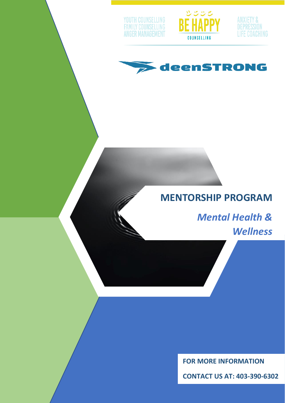







# **MENTORSHIP PROGRAM**

*Mental Health & Wellness*

**FOR MORE INFORMATION**

**CONTACT US AT: 403-390-6302**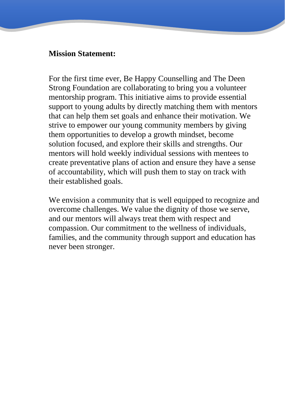## **Mission Statement:**

For the first time ever, Be Happy Counselling and The Deen Strong Foundation are collaborating to bring you a volunteer mentorship program. This initiative aims to provide essential support to young adults by directly matching them with mentors that can help them set goals and enhance their motivation. We strive to empower our young community members by giving them opportunities to develop a growth mindset, become solution focused, and explore their skills and strengths. Our mentors will hold weekly individual sessions with mentees to create preventative plans of action and ensure they have a sense of accountability, which will push them to stay on track with their established goals.

We envision a community that is well equipped to recognize and overcome challenges. We value the dignity of those we serve, and our mentors will always treat them with respect and compassion. Our commitment to the wellness of individuals, families, and the community through support and education has never been stronger.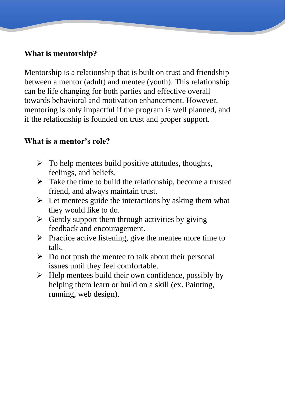# **What is mentorship?**

Mentorship is a relationship that is built on trust and friendship between a mentor (adult) and mentee (youth). This relationship can be life changing for both parties and effective overall towards behavioral and motivation enhancement. However, mentoring is only impactful if the program is well planned, and if the relationship is founded on trust and proper support.

# **What is a mentor's role?**

- $\triangleright$  To help mentees build positive attitudes, thoughts, feelings, and beliefs.
- $\triangleright$  Take the time to build the relationship, become a trusted friend, and always maintain trust.
- $\triangleright$  Let mentees guide the interactions by asking them what they would like to do.
- $\triangleright$  Gently support them through activities by giving feedback and encouragement.
- ➢ Practice active listening, give the mentee more time to talk.
- $\triangleright$  Do not push the mentee to talk about their personal issues until they feel comfortable.
- $\triangleright$  Help mentees build their own confidence, possibly by helping them learn or build on a skill (ex. Painting, running, web design).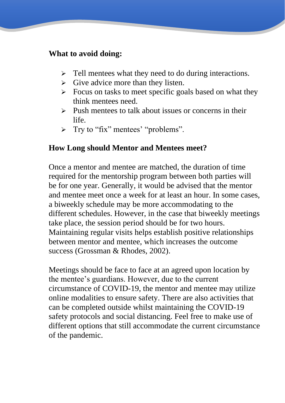## **What to avoid doing:**

- ➢ Tell mentees what they need to do during interactions.
- $\triangleright$  Give advice more than they listen.
- $\triangleright$  Focus on tasks to meet specific goals based on what they think mentees need.
- $\triangleright$  Push mentees to talk about issues or concerns in their life.
- ➢ Try to "fix" mentees' "problems".

# **How Long should Mentor and Mentees meet?**

Once a mentor and mentee are matched, the duration of time required for the mentorship program between both parties will be for one year. Generally, it would be advised that the mentor and mentee meet once a week for at least an hour. In some cases, a biweekly schedule may be more accommodating to the different schedules. However, in the case that biweekly meetings take place, the session period should be for two hours. Maintaining regular visits helps establish positive relationships between mentor and mentee, which increases the outcome success (Grossman & Rhodes, 2002).

Meetings should be face to face at an agreed upon location by the mentee's guardians. However, due to the current circumstance of COVID-19, the mentor and mentee may utilize online modalities to ensure safety. There are also activities that can be completed outside whilst maintaining the COVID-19 safety protocols and social distancing. Feel free to make use of different options that still accommodate the current circumstance of the pandemic.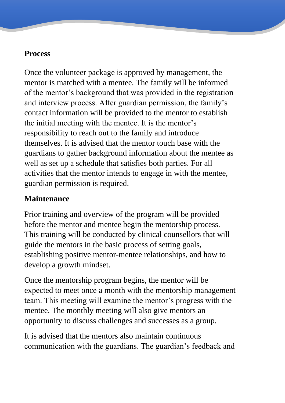# **Process**

Once the volunteer package is approved by management, the mentor is matched with a mentee. The family will be informed of the mentor's background that was provided in the registration and interview process. After guardian permission, the family's contact information will be provided to the mentor to establish the initial meeting with the mentee. It is the mentor's responsibility to reach out to the family and introduce themselves. It is advised that the mentor touch base with the guardians to gather background information about the mentee as well as set up a schedule that satisfies both parties. For all activities that the mentor intends to engage in with the mentee, guardian permission is required.

# **Maintenance**

Prior training and overview of the program will be provided before the mentor and mentee begin the mentorship process. This training will be conducted by clinical counsellors that will guide the mentors in the basic process of setting goals, establishing positive mentor-mentee relationships, and how to develop a growth mindset.

Once the mentorship program begins, the mentor will be expected to meet once a month with the mentorship management team. This meeting will examine the mentor's progress with the mentee. The monthly meeting will also give mentors an opportunity to discuss challenges and successes as a group.

It is advised that the mentors also maintain continuous communication with the guardians. The guardian's feedback and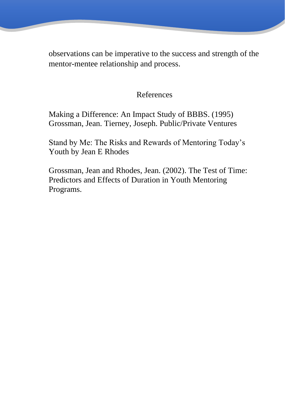observations can be imperative to the success and strength of the mentor-mentee relationship and process.

# References

[Making a Difference: An Impact Study of BBBS. \(1995\)](https://www.issuelab.org/resource/making-a-difference-an-impact-study-of-big-brothers-big-sisters-re-issue-of-1995-study.html)  [Grossman, Jean. Tierney, Joseph. Public/Private Ventures](https://www.issuelab.org/resource/making-a-difference-an-impact-study-of-big-brothers-big-sisters-re-issue-of-1995-study.html)

[Stand by Me: The Risks and Rewards of Mentoring Today's](http://www.hup.harvard.edu/catalog.php?isbn=9780674016118)  [Youth](http://www.hup.harvard.edu/catalog.php?isbn=9780674016118) by Jean E Rhodes

[Grossman, Jean and Rhodes, Jean. \(2002\). The Test of Time:](https://www.rhodeslab.org/files/testoftime.pdf)  [Predictors and Effects of Duration in Youth Mentoring](https://www.rhodeslab.org/files/testoftime.pdf)  [Programs.](https://www.rhodeslab.org/files/testoftime.pdf)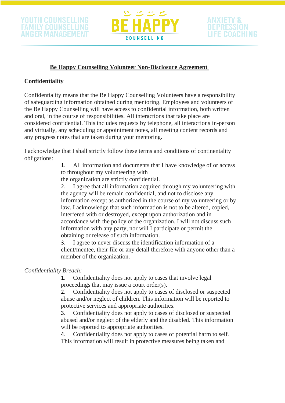



#### **Be Happy Counselling Volunteer Non-Disclosure Agreement**

#### **Confidentiality**

Confidentiality means that the Be Happy Counselling Volunteers have a responsibility of safeguarding information obtained during mentoring. Employees and volunteers of the Be Happy Counselling will have access to confidential information, both written and oral, in the course of responsibilities. All interactions that take place are considered confidential. This includes requests by telephone, all interactions in-person and virtually, any scheduling or appointment notes, all meeting content records and any progress notes that are taken during your mentoring.

I acknowledge that I shall strictly follow these terms and conditions of continentality obligations:

> 1. All information and documents that I have knowledge of or access to throughout my volunteering with

the organization are strictly confidential.

2. I agree that all information acquired through my volunteering with the agency will be remain confidential, and not to disclose any information except as authorized in the course of my volunteering or by law. I acknowledge that such information is not to be altered, copied, interfered with or destroyed, except upon authorization and in accordance with the policy of the organization. I will not discuss such information with any party, nor will I participate or permit the obtaining or release of such information.

3. I agree to never discuss the identification information of a client/mentee, their file or any detail therefore with anyone other than a member of the organization.

#### *Confidentiality Breach:*

1. Confidentiality does not apply to cases that involve legal proceedings that may issue a court order(s).

2. Confidentiality does not apply to cases of disclosed or suspected abuse and/or neglect of children. This information will be reported to protective services and appropriate authorities.

3. Confidentiality does not apply to cases of disclosed or suspected abused and/or neglect of the elderly and the disabled. This information will be reported to appropriate authorities.

4. Confidentiality does not apply to cases of potential harm to self. This information will result in protective measures being taken and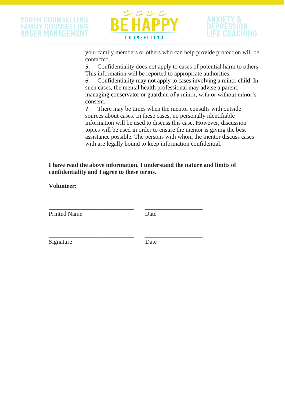

your family members or others who can help provide protection will be contacted.

5. Confidentiality does not apply to cases of potential harm to others. This information will be reported to appropriate authorities.

6. Confidentiality may not apply to cases involving a minor child. In such cases, the mental health professional may advise a parent, managing conservator or guardian of a minor, with or without minor's consent.

7. There may be times when the mentor consults with outside sources about cases. In these cases, no personally identifiable information will be used to discuss this case. However, discussion topics will be used in order to ensure the mentor is giving the best assistance possible. The persons with whom the mentor discuss cases with are legally bound to keep information confidential.

**I have read the above information. I understand the nature and limits of confidentiality and I agree to these terms.**

**Volunteer:**

Printed Name Date

\_\_\_\_\_\_\_\_\_\_\_\_\_\_\_\_\_\_\_\_\_\_\_\_\_\_\_\_ \_\_\_\_\_\_\_\_\_\_\_\_\_\_\_\_\_\_\_

Signature Date

\_\_\_\_\_\_\_\_\_\_\_\_\_\_\_\_\_\_\_\_\_\_\_\_\_\_\_\_ \_\_\_\_\_\_\_\_\_\_\_\_\_\_\_\_\_\_\_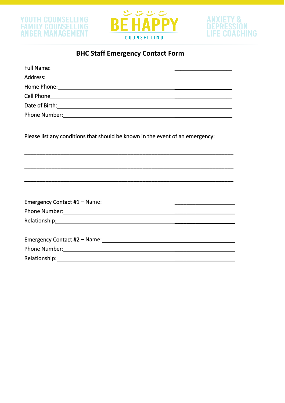



# ANXIETY &<br>DEPRESSION **LIFE COACHING**

# **BHC Staff Emergency Contact Form**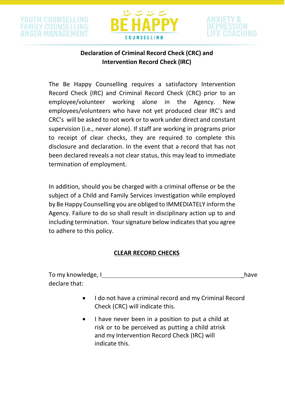



## **Declaration of Criminal Record Check (CRC) and Intervention Record Check (IRC)**

The Be Happy Counselling requires a satisfactory Intervention Record Check (IRC) and Criminal Record Check (CRC) prior to an employee/volunteer working alone in the Agency. New employees/volunteers who have not yet produced clear IRC's and CRC's will be asked to not work or to work under direct and constant supervision (i.e., never alone). If staff are working in programs prior to receipt of clear checks, they are required to complete this disclosure and declaration. In the event that a record that has not been declared reveals a not clear status, this may lead to immediate termination of employment.

In addition, should you be charged with a criminal offense or be the subject of a Child and Family Services investigation while employed by Be Happy Counselling you are obliged to IMMEDIATELY inform the Agency. Failure to do so shall result in disciplinary action up to and including termination. Your signature below indicates that you agree to adhere to this policy.

#### **CLEAR RECORD CHECKS**

| To my knowledge, I | have |
|--------------------|------|
| declare that:      |      |

- I do not have a criminal record and my Criminal Record Check (CRC) will indicate this.
- I have never been in a position to put a child at risk or to be perceived as putting a child atrisk and my Intervention Record Check (IRC) will indicate this.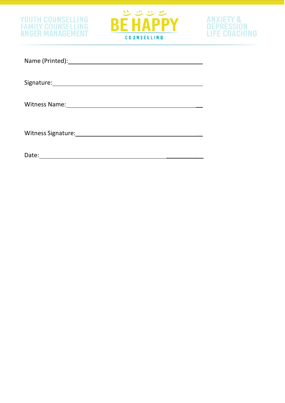



# ANXIETY &<br>Depression<br>Life Coaching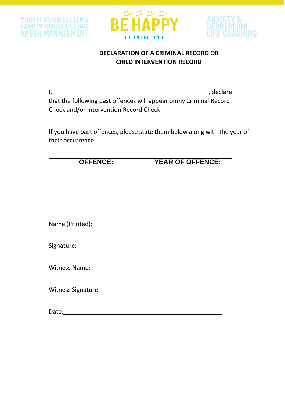





## **DECLARATION OF A CRIMINAL RECORD OR CHILD INTERVENTION RECORD**

I, the contract of the contract of the contract of the contract of the contract of the contract of the contract of the contract of the contract of the contract of the contract of the contract of the contract of the contrac that the following past offences will appear onmy Criminal Record Check and/or Intervention Record Check:

If you have past offences, please state them below along with the year of their occurrence:

| <b>OFFENCE:</b> | <b>YEAR OF OFFENCE:</b> |  |  |
|-----------------|-------------------------|--|--|
|                 |                         |  |  |
|                 |                         |  |  |
|                 |                         |  |  |
|                 |                         |  |  |

Name (Printed):

Signature: <u>\_\_\_\_\_\_\_\_\_\_\_\_\_\_\_\_\_\_\_\_\_\_\_\_\_\_\_\_\_\_\_\_\_\_\_</u>

Witness Name:

Witness Signature:

Date: \_ \_\_\_\_\_\_\_\_\_\_\_\_\_\_\_\_\_\_\_\_\_\_\_\_\_\_\_\_\_\_\_\_\_\_\_\_\_\_\_\_\_\_\_\_\_